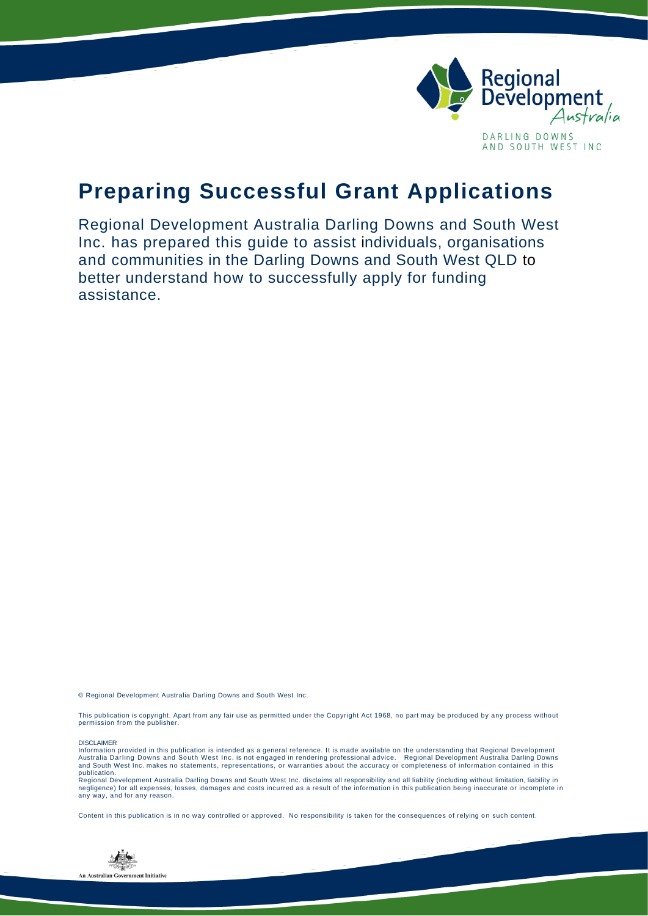

## **Preparing Successful Grant Applications**

Regional Development Australia Darling Downs and South West Inc. has prepared this guide to assist individuals, organisations and communities in the Darling Downs and South West QLD to better understand how to successfully apply for funding assistance.

© Regional Development Australia Darling Downs and South West Inc.

This publication is copyright. Apart from any fair use as permitted under the Copyright Act 1968, no part may be produced by any process without permission from the publisher.

#### DISCLAIMER

Information provided in this publication is intended as a general reference. It is made available on the understanding that Regional Development<br>Australia Darling Downs and South West Inc. is not engaged in rendering profe and South West Inc. makes no statements, representations, or warranties about the accuracy or completeness of information contained in this publication.

Regional Development Australia Darling Downs and South West Inc. disclaims all responsibility and all liability (including without limitation, liability in<br>negligence) for all expenses, losses, damages and costs incurred a any way, and for any reason.

Content in this publication is in no way controlled or approved. No responsibility is taken for the consequences of relying on such content.

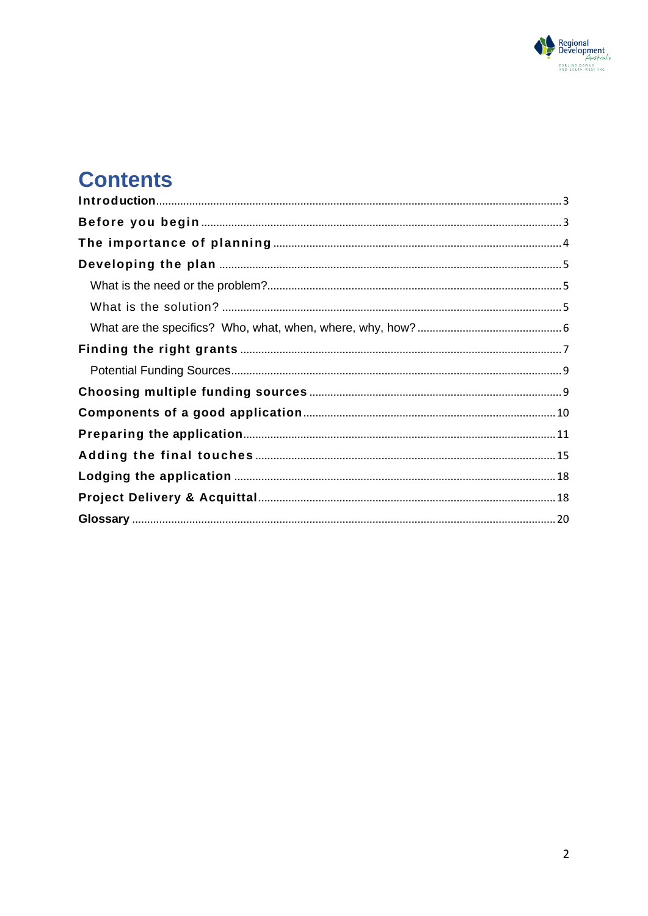

# **Contents**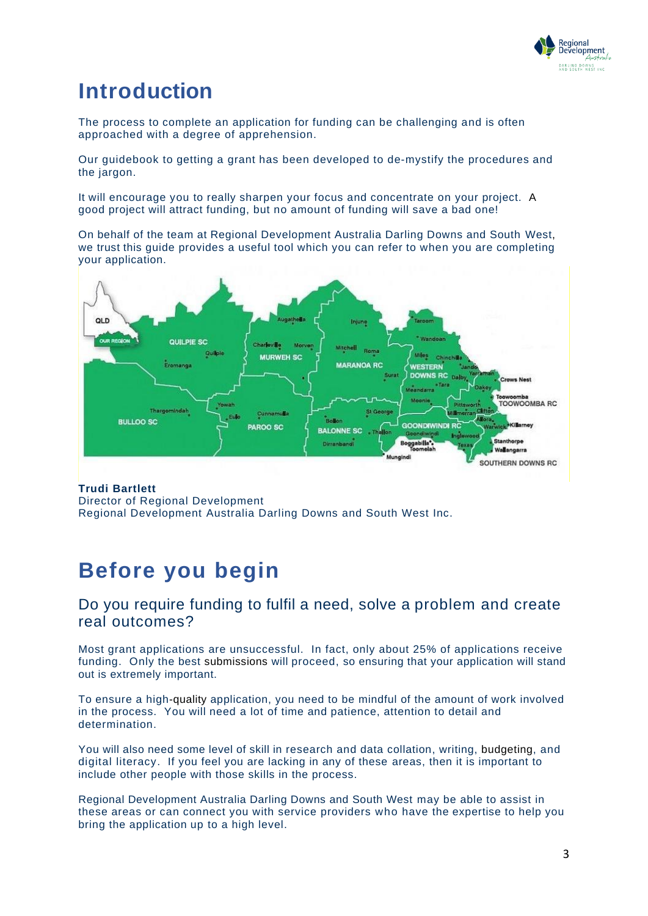

## <span id="page-2-0"></span>**Introduction**

The process to complete an application for funding can be challenging and is often approached with a degree of apprehension.

Our guidebook to getting a grant has been developed to de-mystify the procedures and the jargon.

It will encourage you to really sharpen your focus and concentrate on your project. A good project will attract funding, but no amount of funding will save a bad one!

On behalf of the team at Regional Development Australia Darling Downs and South West, we trust this guide provides a useful tool which you can refer to when you are completing your application.



#### **Trudi Bartlett** Director of Regional Development Regional Development Australia Darling Downs and South West Inc.

## <span id="page-2-1"></span>**Before you begin**

### Do you require funding to fulfil a need, solve a problem and create real outcomes?

Most grant applications are unsuccessful. In fact, only about 25% of applications receive funding. Only the best submissions will proceed, so ensuring that your application will stand out is extremely important.

To ensure a high-quality application, you need to be mindful of the amount of work involved in the process. You will need a lot of time and patience, attention to detail and determination.

You will also need some level of skill in research and data collation, writing, budgeting, and digital literacy. If you feel you are lacking in any of these areas, then it is important to include other people with those skills in the process.

Regional Development Australia Darling Downs and South West may be able to assist in these areas or can connect you with service providers who have the expertise to help you bring the application up to a high level.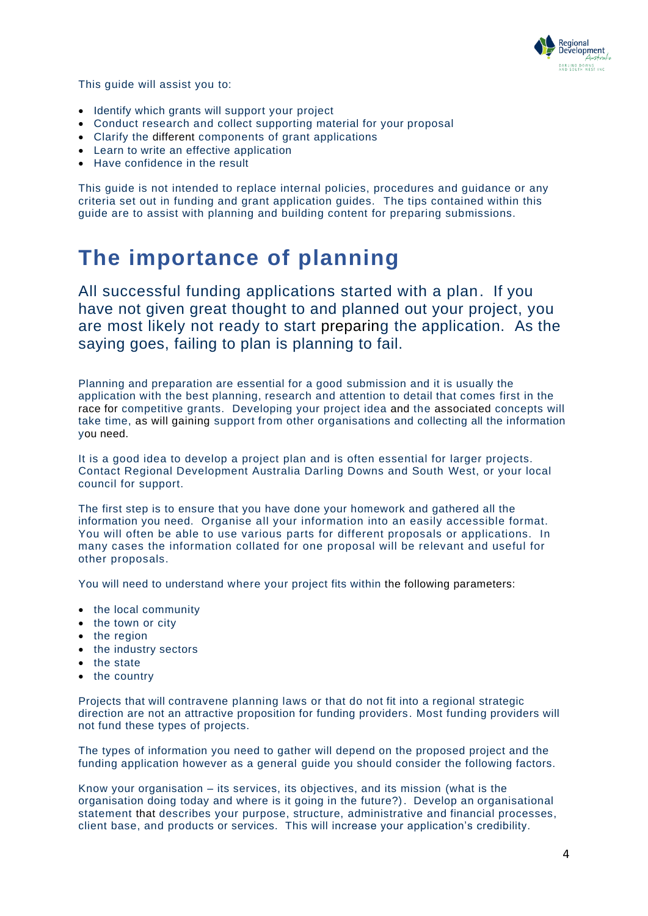

This guide will assist you to:

- Identify which grants will support your project
- Conduct research and collect supporting material for your proposal
- Clarify the different components of grant applications
- Learn to write an effective application
- Have confidence in the result

This guide is not intended to replace internal policies, procedures and guidance or any criteria set out in funding and grant application guides. The tips contained within this guide are to assist with planning and building content for preparing submissions.

## <span id="page-3-0"></span>**The importance of planning**

All successful funding applications started with a plan. If you have not given great thought to and planned out your project, you are most likely not ready to start preparing the application. As the saying goes, failing to plan is planning to fail.

Planning and preparation are essential for a good submission and it is usually the application with the best planning, research and attention to detail that comes first in the race for competitive grants. Developing your project idea and the associated concepts will take time, as will gaining support from other organisations and collecting all the information you need.

It is a good idea to develop a project plan and is often essential for larger projects. Contact Regional Development Australia Darling Downs and South West, or your local council for support.

The first step is to ensure that you have done your homework and gathered all the information you need. Organise all your information into an easily accessible format. You will often be able to use various parts for different proposals or applications. In many cases the information collated for one proposal will be relevant and useful for other proposals.

You will need to understand where your project fits within the following parameters:

- the local community
- the town or city
- the region
- the industry sectors
- the state
- the country

Projects that will contravene planning laws or that do not fit into a regional strategic direction are not an attractive proposition for funding providers . Most funding providers will not fund these types of projects.

The types of information you need to gather will depend on the proposed project and the funding application however as a general guide you should consider the following factors.

Know your organisation – its services, its objectives, and its mission (what is the organisation doing today and where is it going in the future?). Develop an organisational statement that describes your purpose, structure, administrative and financial processes, client base, and products or services. This will increase your application's credibility.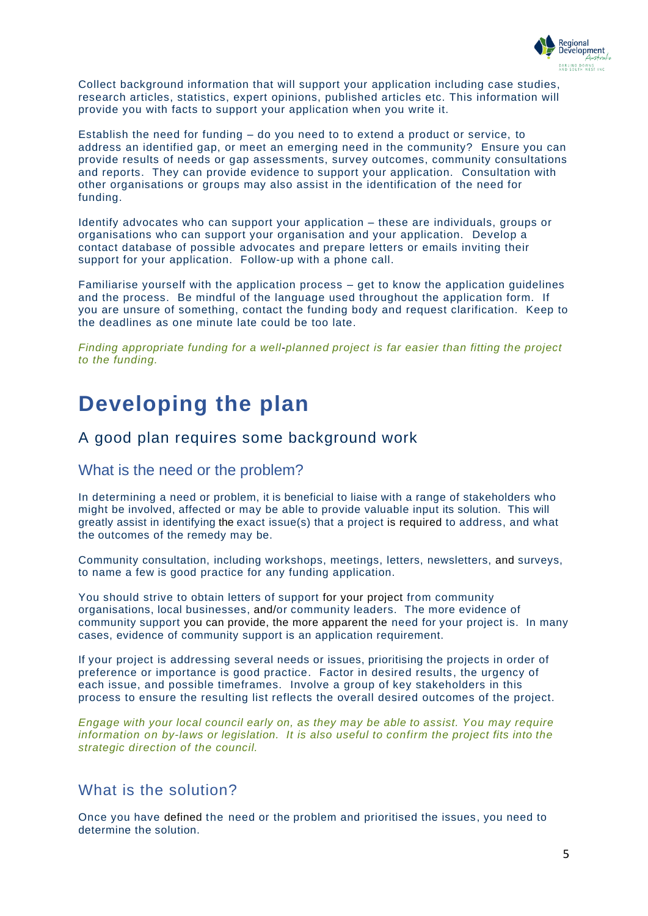

Collect background information that will support your application including case studies, research articles, statistics, expert opinions, published articles etc. This information will provide you with facts to support your application when you write it.

Establish the need for funding – do you need to to extend a product or service, to address an identified gap, or meet an emerging need in the community? Ensure you can provide results of needs or gap assessments, survey outcomes, community consultations and reports. They can provide evidence to support your application. Consultation with other organisations or groups may also assist in the identification of the need for funding.

Identify advocates who can support your application – these are individuals, groups or organisations who can support your organisation and your application. Develop a contact database of possible advocates and prepare letters or emails inviting their support for your application. Follow-up with a phone call.

Familiarise yourself with the application process – get to know the application guidelines and the process. Be mindful of the language used throughout the application form. If you are unsure of something, contact the funding body and request clarification. Keep to the deadlines as one minute late could be too late.

*Finding appropriate funding for a well-planned project is far easier than fitting the project to the funding.*

### <span id="page-4-0"></span>**Developing the plan**

### A good plan requires some background work

### <span id="page-4-1"></span>What is the need or the problem?

In determining a need or problem, it is beneficial to liaise with a range of stakeholders who might be involved, affected or may be able to provide valuable input its solution. This will greatly assist in identifying the exact issue(s) that a project is required to address, and what the outcomes of the remedy may be.

Community consultation, including workshops, meetings, letters, newsletters, and surveys, to name a few is good practice for any funding application.

You should strive to obtain letters of support for your project from community organisations, local businesses, and/or community leaders. The more evidence of community support you can provide, the more apparent the need for your project is. In many cases, evidence of community support is an application requirement.

If your project is addressing several needs or issues, prioritising the projects in order of preference or importance is good practice. Factor in desired results, the urgency of each issue, and possible timeframes. Involve a group of key stakeholders in this process to ensure the resulting list reflects the overall desired outcomes of the project.

*Engage with your local council early on, as they may be able to assist. You may require information on by-laws or legislation. It is also useful to confirm the project fits into the strategic direction of the council.*

### <span id="page-4-2"></span>What is the solution?

Once you have defined the need or the problem and prioritised the issues, you need to determine the solution.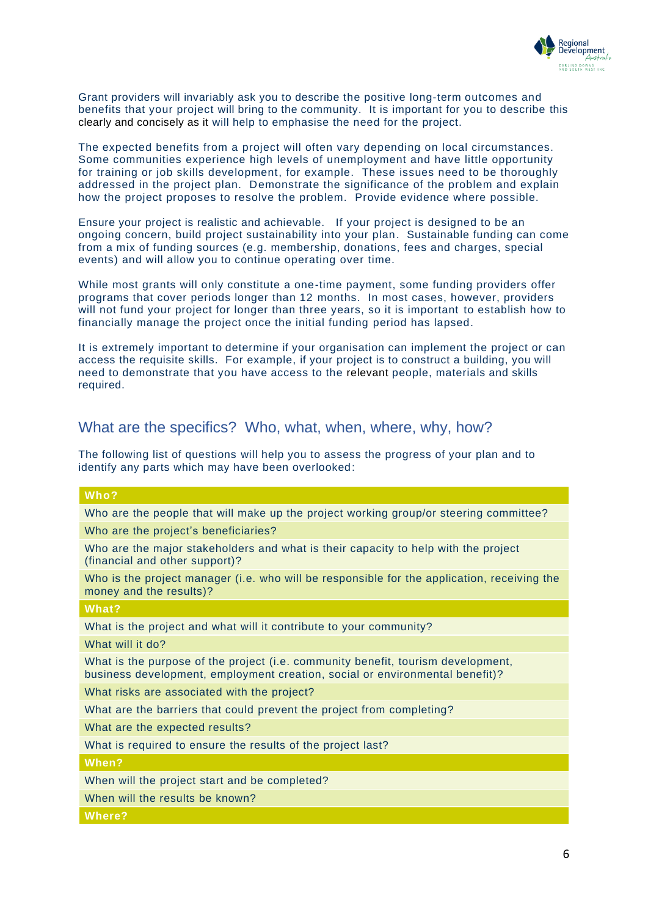

Grant providers will invariably ask you to describe the positive long-term outcomes and benefits that your project will bring to the community. It is important for you to describe this clearly and concisely as it will help to emphasise the need for the project.

The expected benefits from a project will often vary depending on local circumstances. Some communities experience high levels of unemployment and have little opportunity for training or job skills development, for example. These issues need to be thoroughly addressed in the project plan. Demonstrate the significance of the problem and explain how the project proposes to resolve the problem. Provide evidence where possible.

Ensure your project is realistic and achievable. If your project is designed to be an ongoing concern, build project sustainability into your plan. Sustainable funding can come from a mix of funding sources (e.g. membership, donations, fees and charges, special events) and will allow you to continue operating over time.

While most grants will only constitute a one-time payment, some funding providers offer programs that cover periods longer than 12 months. In most cases, however, providers will not fund your project for longer than three years, so it is important to establish how to financially manage the project once the initial funding period has lapsed.

It is extremely important to determine if your organisation can implement the project or can access the requisite skills. For example, if your project is to construct a building, you will need to demonstrate that you have access to the relevant people, materials and skills required.

### <span id="page-5-0"></span>What are the specifics? Who, what, when, where, why, how?

The following list of questions will help you to assess the progress of your plan and to identify any parts which may have been overlooked:

| Who?                                                                                                                                                             |
|------------------------------------------------------------------------------------------------------------------------------------------------------------------|
| Who are the people that will make up the project working group/or steering committee?                                                                            |
| Who are the project's beneficiaries?                                                                                                                             |
| Who are the major stakeholders and what is their capacity to help with the project<br>(financial and other support)?                                             |
| Who is the project manager (i.e. who will be responsible for the application, receiving the<br>money and the results)?                                           |
| What?                                                                                                                                                            |
| What is the project and what will it contribute to your community?                                                                                               |
| What will it do?                                                                                                                                                 |
| What is the purpose of the project (i.e. community benefit, tourism development,<br>business development, employment creation, social or environmental benefit)? |
| What risks are associated with the project?                                                                                                                      |
| What are the barriers that could prevent the project from completing?                                                                                            |
| What are the expected results?                                                                                                                                   |
| What is required to ensure the results of the project last?                                                                                                      |
| When?                                                                                                                                                            |
| When will the project start and be completed?                                                                                                                    |
| When will the results be known?                                                                                                                                  |
| Where?                                                                                                                                                           |
|                                                                                                                                                                  |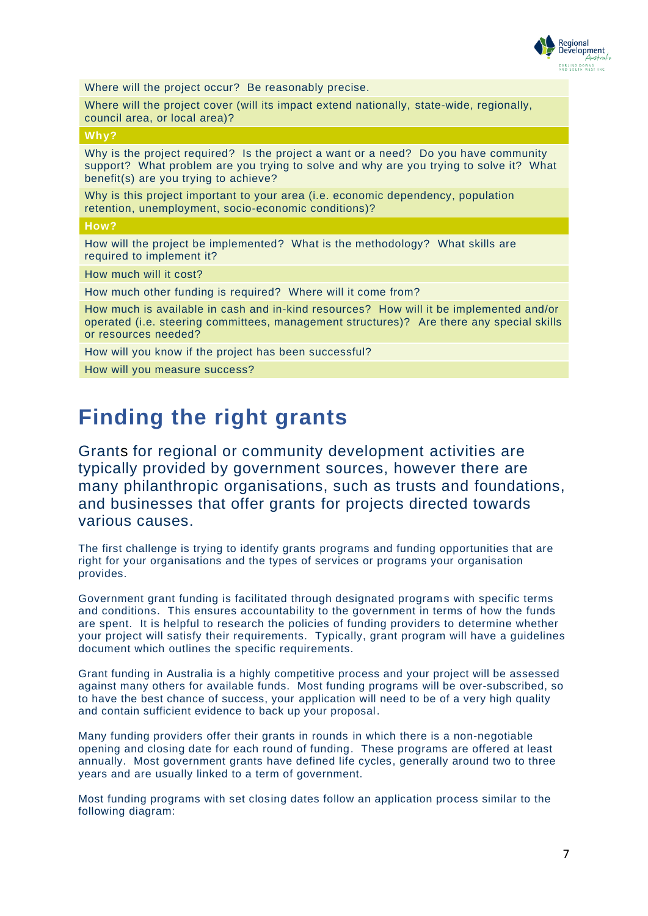

Where will the project occur? Be reasonably precise.

Where will the project cover (will its impact extend nationally, state-wide, regionally, council area, or local area)?

#### **Why?**

Why is the project required? Is the project a want or a need? Do you have community support? What problem are you trying to solve and why are you trying to solve it? What benefit(s) are you trying to achieve?

Why is this project important to your area (i.e. economic dependency, population retention, unemployment, socio-economic conditions)?

#### **How?**

How will the project be implemented? What is the methodology? What skills are required to implement it?

How much will it cost?

How much other funding is required? Where will it come from?

How much is available in cash and in-kind resources? How will it be implemented and/or operated (i.e. steering committees, management structures)? Are there any special skills or resources needed?

How will you know if the project has been successful?

How will you measure success?

### <span id="page-6-0"></span>**Finding the right grants**

Grants for regional or community development activities are typically provided by government sources, however there are many philanthropic organisations, such as trusts and foundations, and businesses that offer grants for projects directed towards various causes.

The first challenge is trying to identify grants programs and funding opportunities that are right for your organisations and the types of services or programs your organisation provides.

Government grant funding is facilitated through designated programs with specific terms and conditions. This ensures accountability to the government in terms of how the funds are spent. It is helpful to research the policies of funding providers to determine whether your project will satisfy their requirements. Typically, grant program will have a guidelines document which outlines the specific requirements.

Grant funding in Australia is a highly competitive process and your project will be assessed against many others for available funds. Most funding programs will be over-subscribed, so to have the best chance of success, your application will need to be of a very high quality and contain sufficient evidence to back up your proposal.

Many funding providers offer their grants in rounds in which there is a non-negotiable opening and closing date for each round of funding. These programs are offered at least annually. Most government grants have defined life cycles, generally around two to three years and are usually linked to a term of government.

Most funding programs with set closing dates follow an application process similar to the following diagram: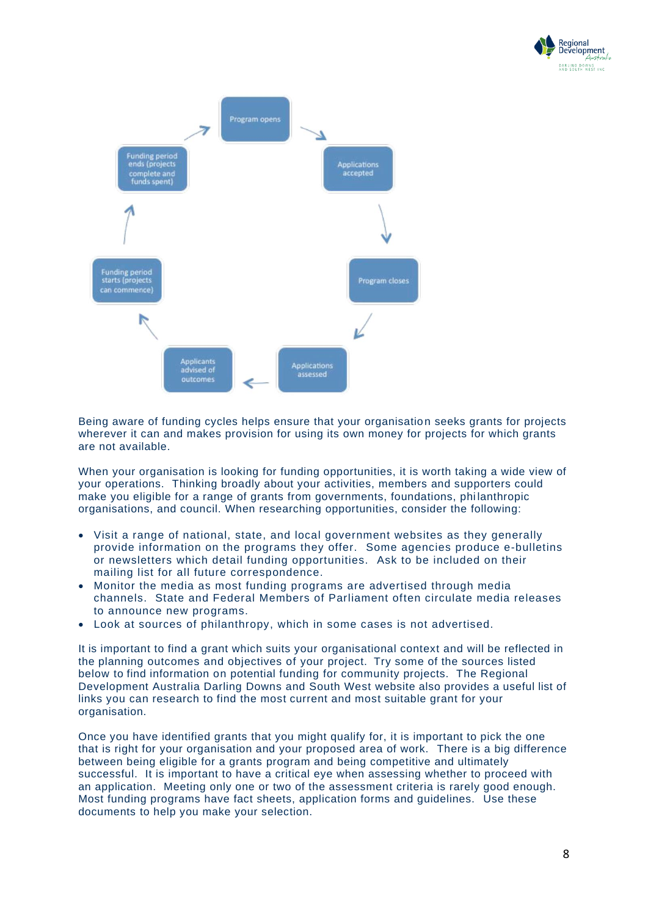



Being aware of funding cycles helps ensure that your organisation seeks grants for projects wherever it can and makes provision for using its own money for projects for which grants are not available.

When your organisation is looking for funding opportunities, it is worth taking a wide view of your operations. Thinking broadly about your activities, members and supporters could make you eligible for a range of grants from governments, foundations, phi lanthropic organisations, and council. When researching opportunities, consider the following:

- Visit a range of national, state, and local government websites as they generally provide information on the programs they offer. Some agencies produce e-bulletins or newsletters which detail funding opportunities. Ask to be included on their mailing list for all future correspondence.
- Monitor the media as most funding programs are advertised through media channels. State and Federal Members of Parliament often circulate media releases to announce new programs.
- Look at sources of philanthropy, which in some cases is not advertised.

It is important to find a grant which suits your organisational context and will be reflected in the planning outcomes and objectives of your project. Try some of the sources listed below to find information on potential funding for community projects. The Regional Development Australia Darling Downs and South West website also provides a useful list of links you can research to find the most current and most suitable grant for your organisation.

Once you have identified grants that you might qualify for, it is important to pick the one that is right for your organisation and your proposed area of work. There is a big difference between being eligible for a grants program and being competitive and ultimately successful. It is important to have a critical eye when assessing whether to proceed with an application. Meeting only one or two of the assessment criteria is rarely good enough. Most funding programs have fact sheets, application forms and guidelines. Use these documents to help you make your selection.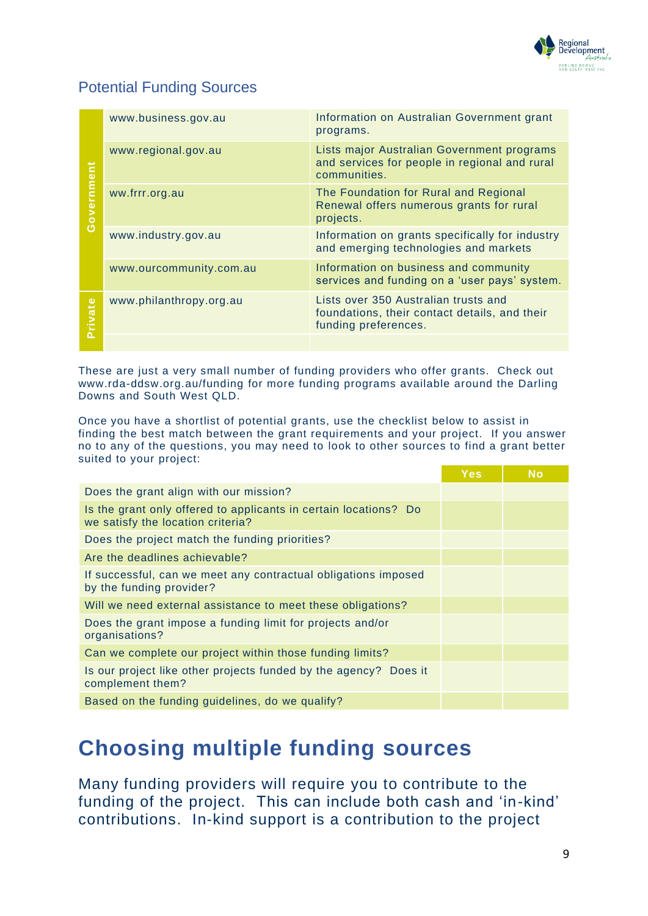

### <span id="page-8-0"></span>Potential Funding Sources

| Government | www.business.gov.au     | Information on Australian Government grant<br>programs.                                                       |
|------------|-------------------------|---------------------------------------------------------------------------------------------------------------|
|            | www.regional.gov.au     | Lists major Australian Government programs<br>and services for people in regional and rural<br>communities.   |
|            | ww.frrr.org.au          | The Foundation for Rural and Regional<br>Renewal offers numerous grants for rural<br>projects.                |
|            | www.industry.gov.au     | Information on grants specifically for industry<br>and emerging technologies and markets                      |
|            | www.ourcommunity.com.au | Information on business and community<br>services and funding on a 'user pays' system.                        |
| Private    | www.philanthropy.org.au | Lists over 350 Australian trusts and<br>foundations, their contact details, and their<br>funding preferences. |
|            |                         |                                                                                                               |

These are just a very small number of funding providers who offer grants. Check out [www.rda-ddsw.org.au/funding](http://www.rda-ddsw.org.au/funding) for more funding programs available around the Darling Downs and South West QLD.

Once you have a shortlist of potential grants, use the checklist below to assist in finding the best match between the grant requirements and your project. If you answer no to any of the questions, you may need to look to other sources to find a grant better suited to your project:

| Does the grant align with our mission?                                                                |  |
|-------------------------------------------------------------------------------------------------------|--|
|                                                                                                       |  |
| Is the grant only offered to applicants in certain locations? Do<br>we satisfy the location criteria? |  |
| Does the project match the funding priorities?                                                        |  |
| Are the deadlines achievable?                                                                         |  |
| If successful, can we meet any contractual obligations imposed<br>by the funding provider?            |  |
| Will we need external assistance to meet these obligations?                                           |  |
| Does the grant impose a funding limit for projects and/or<br>organisations?                           |  |
| Can we complete our project within those funding limits?                                              |  |
| Is our project like other projects funded by the agency? Does it<br>complement them?                  |  |
| Based on the funding guidelines, do we qualify?                                                       |  |

## <span id="page-8-1"></span>**Choosing multiple funding sources**

Many funding providers will require you to contribute to the funding of the project. This can include both cash and 'in-kind' contributions. In-kind support is a contribution to the project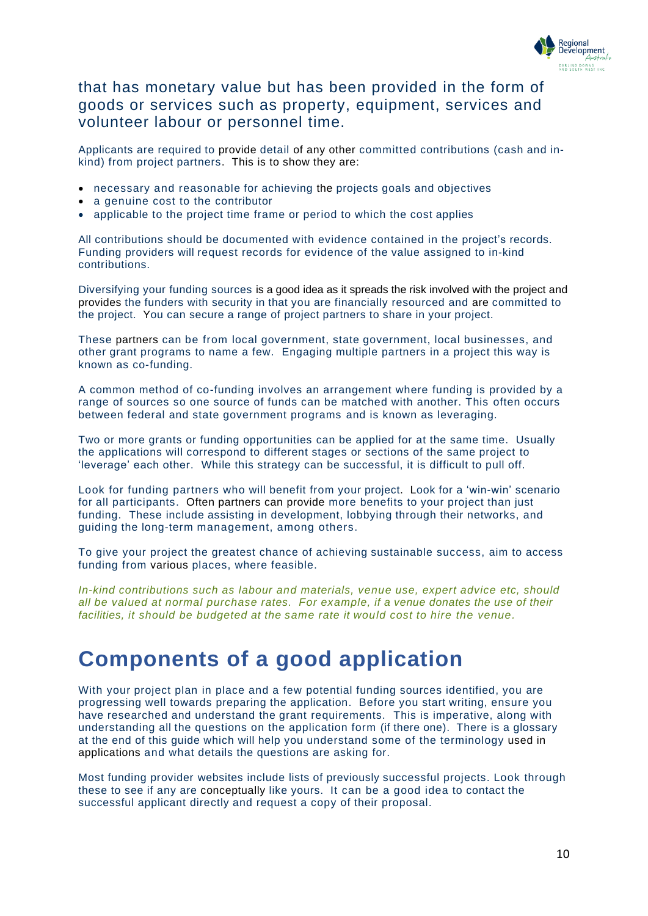

### that has monetary value but has been provided in the form of goods or services such as property, equipment, services and volunteer labour or personnel time.

Applicants are required to provide detail of any other committed contributions (cash and inkind) from project partners. This is to show they are:

- necessary and reasonable for achieving the projects goals and objectives
- a genuine cost to the contributor
- applicable to the project time frame or period to which the cost applies

All contributions should be documented with evidence contained in the project's records. Funding providers will request records for evidence of the value assigned to in-kind contributions.

Diversifying your funding sources is a good idea as it spreads the risk involved with the project and provides the funders with security in that you are financially resourced and are committed to the project. You can secure a range of project partners to share in your project.

These partners can be from local government, state government, local businesses, and other grant programs to name a few. Engaging multiple partners in a project this way is known as co-funding.

A common method of co-funding involves an arrangement where funding is provided by a range of sources so one source of funds can be matched with another. This often occurs between federal and state government programs and is known as leveraging.

Two or more grants or funding opportunities can be applied for at the same time. Usually the applications will correspond to different stages or sections of the same project to 'leverage' each other. While this strategy can be successful, it is difficult to pull off.

Look for funding partners who will benefit from your project. Look for a 'win-win' scenario for all participants. Often partners can provide more benefits to your project than just funding. These include assisting in development, lobbying through their networks, and guiding the long-term management, among others.

To give your project the greatest chance of achieving sustainable success, aim to access funding from various places, where feasible.

*In-kind contributions such as labour and materials, venue use, expert advice etc, should all be valued at normal purchase rates. For example, if a venue donates the use of their facilities, it should be budgeted at the same rate it would cost to hire the venue.*

### <span id="page-9-0"></span>**Components of a good application**

With your project plan in place and a few potential funding sources identified, you are progressing well towards preparing the application. Before you start writing, ensure you have researched and understand the grant requirements. This is imperative, along with understanding all the questions on the application form (if there one). There is a glossary at the end of this guide which will help you understand some of the terminology used in applications and what details the questions are asking for.

Most funding provider websites include lists of previously successful projects. Look through these to see if any are conceptually like yours. It can be a good idea to contact the successful applicant directly and request a copy of their proposal.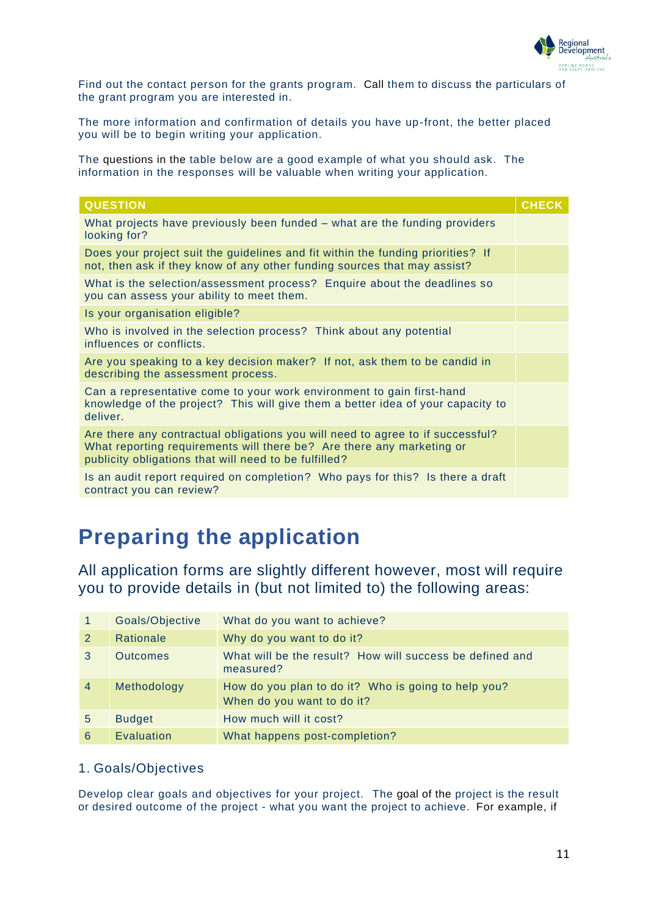

Find out the contact person for the grants program. Call them to discuss the particulars of the grant program you are interested in.

The more information and confirmation of details you have up-front, the better placed you will be to begin writing your application.

The questions in the table below are a good example of what you should ask. The information in the responses will be valuable when writing your application.

| <b>QUESTION</b>                                                                                                                                                                                                  | <b>CHECK</b> |
|------------------------------------------------------------------------------------------------------------------------------------------------------------------------------------------------------------------|--------------|
| What projects have previously been funded – what are the funding providers<br>looking for?                                                                                                                       |              |
| Does your project suit the guidelines and fit within the funding priorities? If<br>not, then ask if they know of any other funding sources that may assist?                                                      |              |
| What is the selection/assessment process? Enquire about the deadlines so<br>you can assess your ability to meet them.                                                                                            |              |
| Is your organisation eligible?                                                                                                                                                                                   |              |
| Who is involved in the selection process? Think about any potential<br>influences or conflicts.                                                                                                                  |              |
| Are you speaking to a key decision maker? If not, ask them to be candid in<br>describing the assessment process.                                                                                                 |              |
| Can a representative come to your work environment to gain first-hand<br>knowledge of the project? This will give them a better idea of your capacity to<br>deliver.                                             |              |
| Are there any contractual obligations you will need to agree to if successful?<br>What reporting requirements will there be? Are there any marketing or<br>publicity obligations that will need to be fulfilled? |              |
| Is an audit report required on completion? Who pays for this? Is there a draft<br>contract you can review?                                                                                                       |              |

# <span id="page-10-0"></span>**Preparing the application**

All application forms are slightly different however, most will require you to provide details in (but not limited to) the following areas:

|                | Goals/Objective | What do you want to achieve?                                                      |
|----------------|-----------------|-----------------------------------------------------------------------------------|
| 2              | Rationale       | Why do you want to do it?                                                         |
| 3              | <b>Outcomes</b> | What will be the result? How will success be defined and<br>measured?             |
| $\overline{4}$ | Methodology     | How do you plan to do it? Who is going to help you?<br>When do you want to do it? |
| 5              | <b>Budget</b>   | How much will it cost?                                                            |
| 6              | Evaluation      | What happens post-completion?                                                     |

### 1. Goals/Objectives

Develop clear goals and objectives for your project. The goal of the project is the result or desired outcome of the project - what you want the project to achieve. For example, if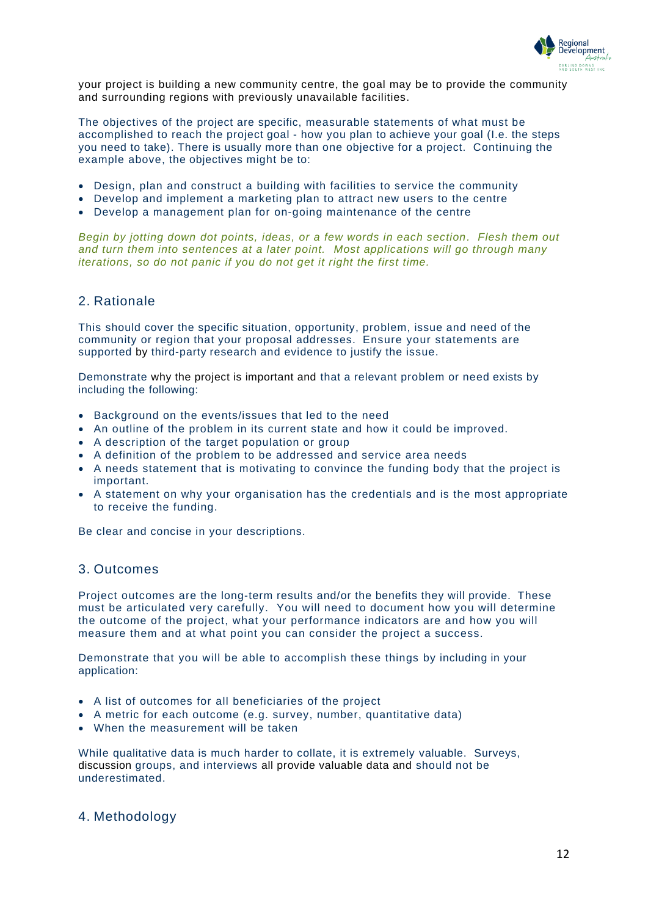

your project is building a new community centre, the goal may be to provide the community and surrounding regions with previously unavailable facilities.

The objectives of the project are specific, measurable statements of what must be accomplished to reach the project goal - how you plan to achieve your goal (I.e. the steps you need to take). There is usually more than one objective for a project. Continuing the example above, the objectives might be to:

- Design, plan and construct a building with facilities to service the community
- Develop and implement a marketing plan to attract new users to the centre
- Develop a management plan for on-going maintenance of the centre

*Begin by jotting down dot points, ideas, or a few words in each section. Flesh them out and turn them into sentences at a later point. Most applications will go through many iterations, so do not panic if you do not get it right the first time.*

#### 2. Rationale

This should cover the specific situation, opportunity, problem, issue and need of the community or region that your proposal addresses. Ensure your statements are supported by third-party research and evidence to justify the issue.

Demonstrate why the project is important and that a relevant problem or need exists by including the following:

- Background on the events/issues that led to the need
- An outline of the problem in its current state and how it could be improved.
- A description of the target population or group
- A definition of the problem to be addressed and service area needs
- A needs statement that is motivating to convince the funding body that the project is important.
- A statement on why your organisation has the credentials and is the most appropriate to receive the funding.

Be clear and concise in your descriptions.

#### 3. Outcomes

Project outcomes are the long-term results and/or the benefits they will provide. These must be articulated very carefully. You will need to document how you will determine the outcome of the project, what your performance indicators are and how you will measure them and at what point you can consider the project a success.

Demonstrate that you will be able to accomplish these things by including in your application:

- A list of outcomes for all beneficiaries of the project
- A metric for each outcome (e.g. survey, number, quantitative data)
- When the measurement will be taken

While qualitative data is much harder to collate, it is extremely valuable. Surveys, discussion groups, and interviews all provide valuable data and should not be underestimated.

#### 4. Methodology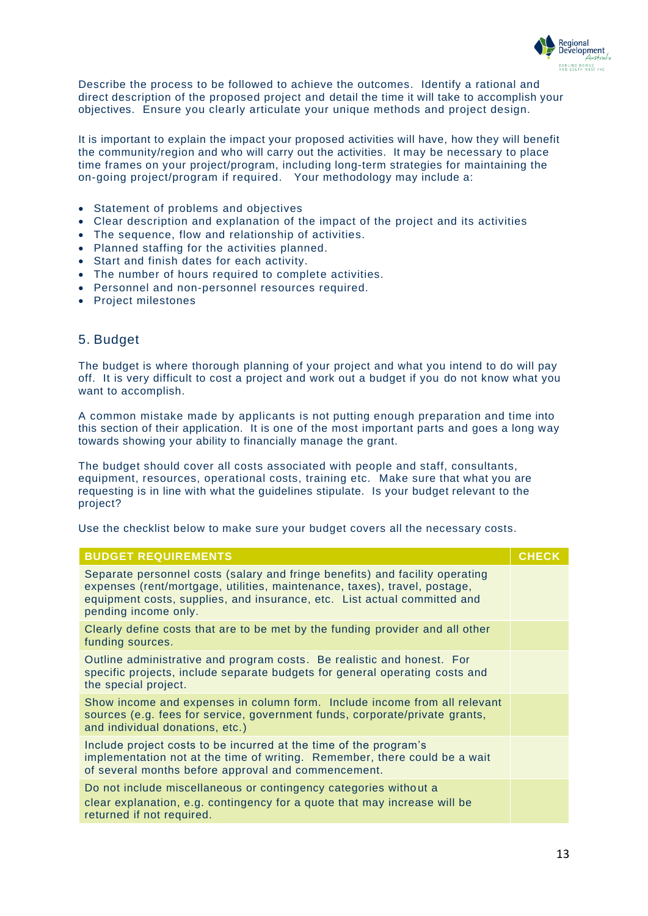

Describe the process to be followed to achieve the outcomes. Identify a rational and direct description of the proposed project and detail the time it will take to accomplish your objectives. Ensure you clearly articulate your unique methods and project design.

It is important to explain the impact your proposed activities will have, how they will benefit the community/region and who will carry out the activities. It may be necessary to place time frames on your project/program, including long-term strategies for maintaining the on-going project/program if required. Your methodology may include a:

- Statement of problems and objectives
- Clear description and explanation of the impact of the project and its activities
- The sequence, flow and relationship of activities.
- Planned staffing for the activities planned.
- Start and finish dates for each activity.
- The number of hours required to complete activities.
- Personnel and non-personnel resources required.
- Project milestones

#### 5. Budget

The budget is where thorough planning of your project and what you intend to do will pay off. It is very difficult to cost a project and work out a budget if you do not know what you want to accomplish.

A common mistake made by applicants is not putting enough preparation and time into this section of their application. It is one of the most important parts and goes a long way towards showing your ability to financially manage the grant.

The budget should cover all costs associated with people and staff, consultants, equipment, resources, operational costs, training etc. Make sure that what you are requesting is in line with what the guidelines stipulate. Is your budget relevant to the project?

Use the checklist below to make sure your budget covers all the necessary costs.

| <b>BUDGET REQUIREMENTS</b>                                                                                                                                                                                                                                    | <b>CHECK</b> |
|---------------------------------------------------------------------------------------------------------------------------------------------------------------------------------------------------------------------------------------------------------------|--------------|
| Separate personnel costs (salary and fringe benefits) and facility operating<br>expenses (rent/mortgage, utilities, maintenance, taxes), travel, postage,<br>equipment costs, supplies, and insurance, etc. List actual committed and<br>pending income only. |              |
| Clearly define costs that are to be met by the funding provider and all other<br>funding sources.                                                                                                                                                             |              |
| Outline administrative and program costs. Be realistic and honest. For<br>specific projects, include separate budgets for general operating costs and<br>the special project.                                                                                 |              |
| Show income and expenses in column form. Include income from all relevant<br>sources (e.g. fees for service, government funds, corporate/private grants,<br>and individual donations, etc.)                                                                   |              |
| Include project costs to be incurred at the time of the program's<br>implementation not at the time of writing. Remember, there could be a wait<br>of several months before approval and commencement.                                                        |              |
| Do not include miscellaneous or contingency categories without a<br>clear explanation, e.g. contingency for a quote that may increase will be<br>returned if not required.                                                                                    |              |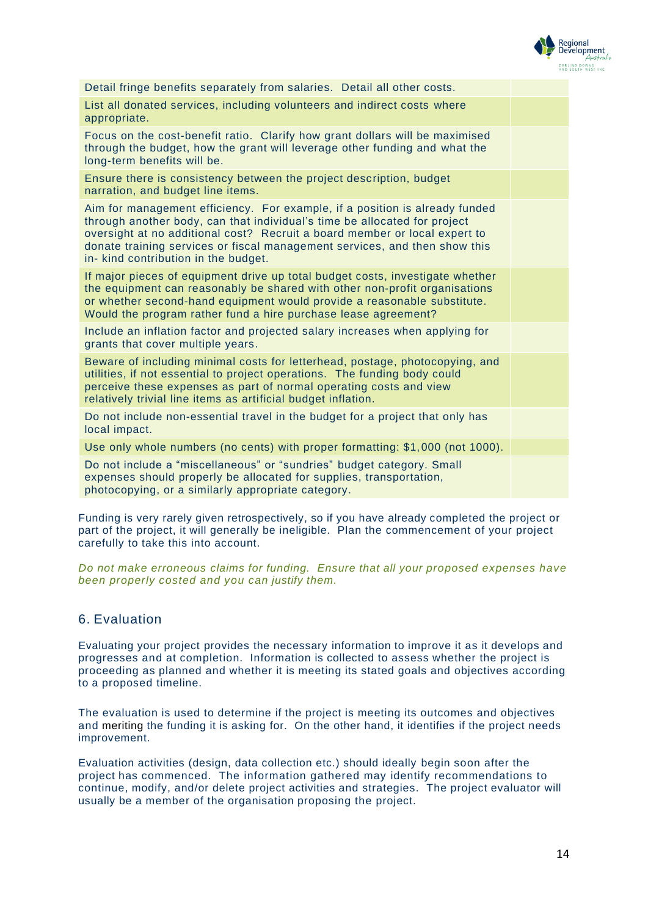

| Detail fringe benefits separately from salaries. Detail all other costs.                                                                                                                                                                                                                                                                                     |  |
|--------------------------------------------------------------------------------------------------------------------------------------------------------------------------------------------------------------------------------------------------------------------------------------------------------------------------------------------------------------|--|
| List all donated services, including volunteers and indirect costs where<br>appropriate.                                                                                                                                                                                                                                                                     |  |
| Focus on the cost-benefit ratio. Clarify how grant dollars will be maximised<br>through the budget, how the grant will leverage other funding and what the<br>long-term benefits will be.                                                                                                                                                                    |  |
| Ensure there is consistency between the project description, budget<br>narration, and budget line items.                                                                                                                                                                                                                                                     |  |
| Aim for management efficiency. For example, if a position is already funded<br>through another body, can that individual's time be allocated for project<br>oversight at no additional cost? Recruit a board member or local expert to<br>donate training services or fiscal management services, and then show this<br>in- kind contribution in the budget. |  |
| If major pieces of equipment drive up total budget costs, investigate whether<br>the equipment can reasonably be shared with other non-profit organisations<br>or whether second-hand equipment would provide a reasonable substitute.<br>Would the program rather fund a hire purchase lease agreement?                                                     |  |
| Include an inflation factor and projected salary increases when applying for<br>grants that cover multiple years.                                                                                                                                                                                                                                            |  |
| Beware of including minimal costs for letterhead, postage, photocopying, and<br>utilities, if not essential to project operations. The funding body could<br>perceive these expenses as part of normal operating costs and view<br>relatively trivial line items as artificial budget inflation.                                                             |  |
| Do not include non-essential travel in the budget for a project that only has<br>local impact.                                                                                                                                                                                                                                                               |  |
| Use only whole numbers (no cents) with proper formatting: \$1,000 (not 1000).                                                                                                                                                                                                                                                                                |  |
| Do not include a "miscellaneous" or "sundries" budget category. Small<br>expenses should properly be allocated for supplies, transportation,<br>photocopying, or a similarly appropriate category.                                                                                                                                                           |  |

Funding is very rarely given retrospectively, so if you have already completed the project or part of the project, it will generally be ineligible. Plan the commencement of your project carefully to take this into account.

*Do not make erroneous claims for funding. Ensure that all your proposed expenses have been properly costed and you can justify them.*

#### 6. Evaluation

Evaluating your project provides the necessary information to improve it as it develops and progresses and at completion. Information is collected to assess whether the project is proceeding as planned and whether it is meeting its stated goals and objectives according to a proposed timeline.

The evaluation is used to determine if the project is meeting its outcomes and objectives and meriting the funding it is asking for. On the other hand, it identifies if the project needs improvement.

Evaluation activities (design, data collection etc.) should ideally begin soon after the project has commenced. The information gathered may identify recommendations to continue, modify, and/or delete project activities and strategies. The project evaluator will usually be a member of the organisation proposing the project.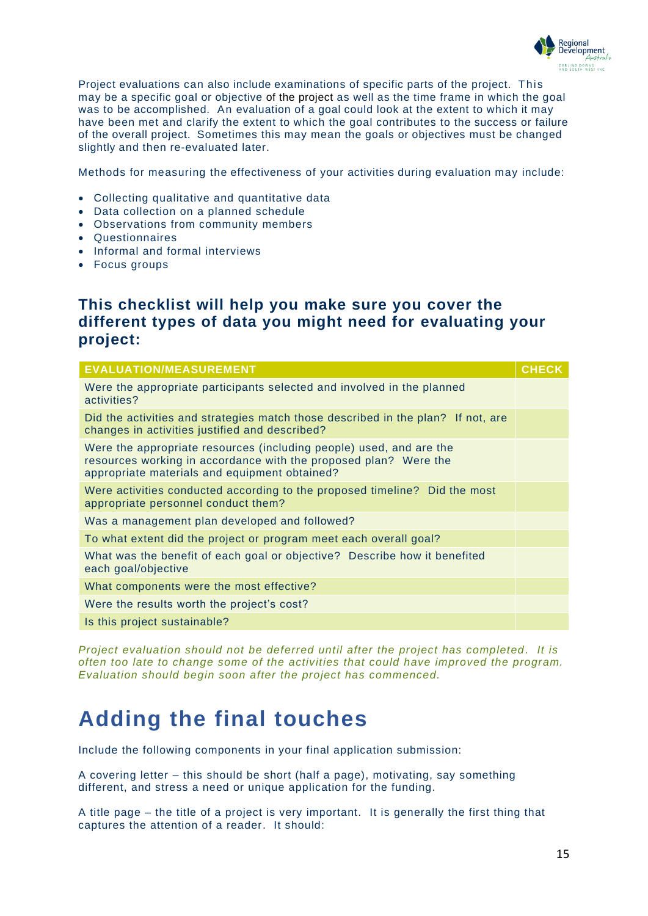

Project evaluations can also include examinations of specific parts of the project. This may be a specific goal or objective of the project as well as the time frame in which the goal was to be accomplished. An evaluation of a goal could look at the extent to which it may have been met and clarify the extent to which the goal contributes to the success or failure of the overall project. Sometimes this may mean the goals or objectives must be changed slightly and then re-evaluated later.

Methods for measuring the effectiveness of your activities during evaluation may include:

- Collecting qualitative and quantitative data
- Data collection on a planned schedule
- Observations from community members
- Questionnaires
- Informal and formal interviews
- Focus groups

### **This checklist will help you make sure you cover the different types of data you might need for evaluating your project:**

| <b>EVALUATION/MEASUREMENT</b>                                                                                                                                                            | <b>CHECK</b> |
|------------------------------------------------------------------------------------------------------------------------------------------------------------------------------------------|--------------|
| Were the appropriate participants selected and involved in the planned<br>activities?                                                                                                    |              |
| Did the activities and strategies match those described in the plan? If not, are<br>changes in activities justified and described?                                                       |              |
| Were the appropriate resources (including people) used, and are the<br>resources working in accordance with the proposed plan? Were the<br>appropriate materials and equipment obtained? |              |
| Were activities conducted according to the proposed timeline? Did the most<br>appropriate personnel conduct them?                                                                        |              |
| Was a management plan developed and followed?                                                                                                                                            |              |
| To what extent did the project or program meet each overall goal?                                                                                                                        |              |
| What was the benefit of each goal or objective? Describe how it benefited<br>each goal/objective                                                                                         |              |
| What components were the most effective?                                                                                                                                                 |              |
| Were the results worth the project's cost?                                                                                                                                               |              |
| Is this project sustainable?                                                                                                                                                             |              |

*Project evaluation should not be deferred until after the project has completed . It is often too late to change some of the activities that could have improved the program. Evaluation should begin soon after the project has commenced.*

## <span id="page-14-0"></span>**Adding the final touches**

Include the following components in your final application submission:

A covering letter – this should be short (half a page), motivating, say something different, and stress a need or unique application for the funding.

A title page – the title of a project is very important. It is generally the first thing that captures the attention of a reader. It should: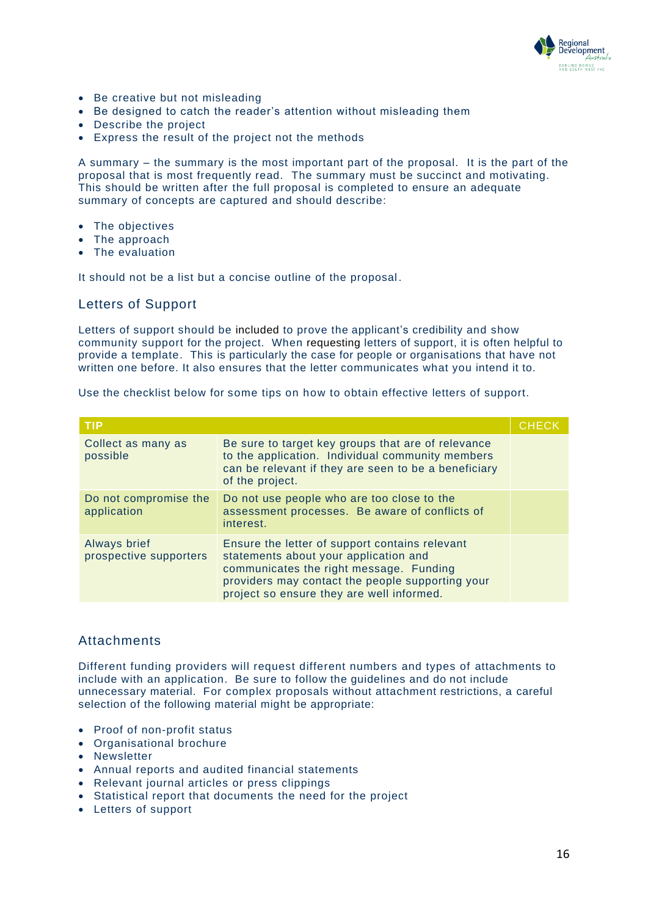

- Be creative but not misleading
- Be designed to catch the reader's attention without misleading them
- Describe the project
- Express the result of the project not the methods

A summary – the summary is the most important part of the proposal. It is the part of the proposal that is most frequently read. The summary must be succinct and motivating. This should be written after the full proposal is completed to ensure an adequate summary of concepts are captured and should describe:

- The objectives
- The approach
- The evaluation

It should not be a list but a concise outline of the proposal.

#### Letters of Support

Letters of support should be included to prove the applicant's credibility and show community support for the project. When requesting letters of support, it is often helpful to provide a template. This is particularly the case for people or organisations that have not written one before. It also ensures that the letter communicates what you intend it to.

Use the checklist below for some tips on how to obtain effective letters of support.

| <b>TIP</b>                             |                                                                                                                                                                                                                                     | <b>CHECK</b> |
|----------------------------------------|-------------------------------------------------------------------------------------------------------------------------------------------------------------------------------------------------------------------------------------|--------------|
| Collect as many as<br>possible         | Be sure to target key groups that are of relevance<br>to the application. Individual community members<br>can be relevant if they are seen to be a beneficiary<br>of the project.                                                   |              |
| Do not compromise the<br>application   | Do not use people who are too close to the<br>assessment processes. Be aware of conflicts of<br>interest.                                                                                                                           |              |
| Always brief<br>prospective supporters | Ensure the letter of support contains relevant<br>statements about your application and<br>communicates the right message. Funding<br>providers may contact the people supporting your<br>project so ensure they are well informed. |              |

#### Attachments

Different funding providers will request different numbers and types of attachments to include with an application. Be sure to follow the guidelines and do not include unnecessary material. For complex proposals without attachment restrictions, a careful selection of the following material might be appropriate:

- Proof of non-profit status
- Organisational brochure
- Newsletter
- Annual reports and audited financial statements
- Relevant journal articles or press clippings
- Statistical report that documents the need for the project
- Letters of support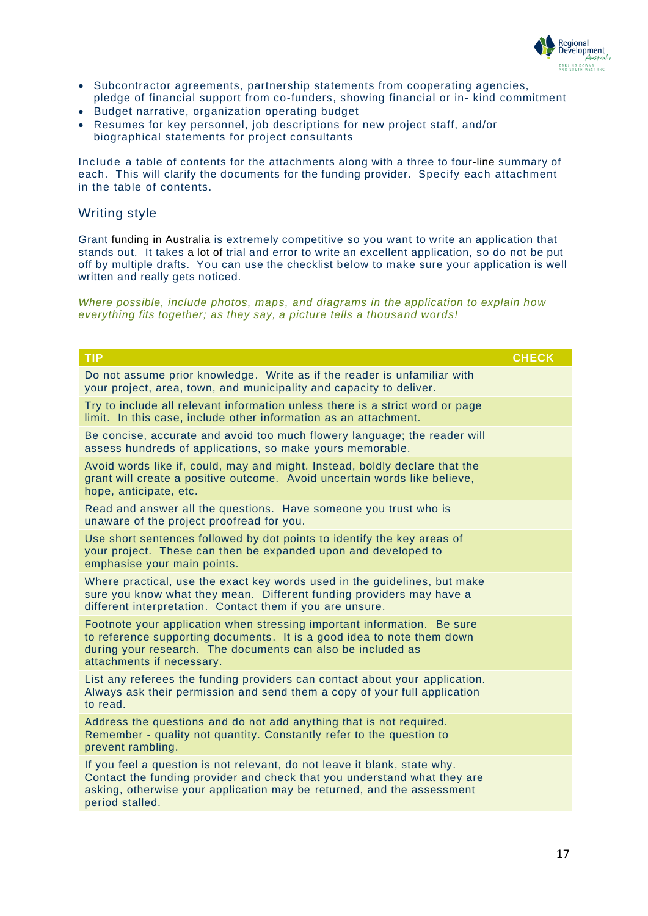

- Subcontractor agreements, partnership statements from cooperating agencies, pledge of financial support from co-funders, showing financial or in- kind commitment
- Budget narrative, organization operating budget
- Resumes for key personnel, job descriptions for new project staff, and/or biographical statements for project consultants

Include a table of contents for the attachments along with a three to four-line summary of each. This will clarify the documents for the funding provider. Specify each attachment in the table of contents.

#### Writing style

Grant funding in Australia is extremely competitive so you want to write an application that stands out. It takes a lot of trial and error to write an excellent application, so do not be put off by multiple drafts. You can use the checklist below to make sure your application is well written and really gets noticed.

*Where possible, include photos, maps, and diagrams in the application to explain how everything fits together; as they say, a picture tells a thousand words!*

| <b>TIP</b>                                                                                                                                                                                                                                         | <b>CHECK</b> |
|----------------------------------------------------------------------------------------------------------------------------------------------------------------------------------------------------------------------------------------------------|--------------|
| Do not assume prior knowledge. Write as if the reader is unfamiliar with<br>your project, area, town, and municipality and capacity to deliver.                                                                                                    |              |
| Try to include all relevant information unless there is a strict word or page<br>limit. In this case, include other information as an attachment.                                                                                                  |              |
| Be concise, accurate and avoid too much flowery language; the reader will<br>assess hundreds of applications, so make yours memorable.                                                                                                             |              |
| Avoid words like if, could, may and might. Instead, boldly declare that the<br>grant will create a positive outcome. Avoid uncertain words like believe,<br>hope, anticipate, etc.                                                                 |              |
| Read and answer all the questions. Have someone you trust who is<br>unaware of the project proofread for you.                                                                                                                                      |              |
| Use short sentences followed by dot points to identify the key areas of<br>your project. These can then be expanded upon and developed to<br>emphasise your main points.                                                                           |              |
| Where practical, use the exact key words used in the guidelines, but make<br>sure you know what they mean. Different funding providers may have a<br>different interpretation. Contact them if you are unsure.                                     |              |
| Footnote your application when stressing important information. Be sure<br>to reference supporting documents. It is a good idea to note them down<br>during your research. The documents can also be included as<br>attachments if necessary.      |              |
| List any referees the funding providers can contact about your application.<br>Always ask their permission and send them a copy of your full application<br>to read.                                                                               |              |
| Address the questions and do not add anything that is not required.<br>Remember - quality not quantity. Constantly refer to the question to<br>prevent rambling.                                                                                   |              |
| If you feel a question is not relevant, do not leave it blank, state why.<br>Contact the funding provider and check that you understand what they are<br>asking, otherwise your application may be returned, and the assessment<br>period stalled. |              |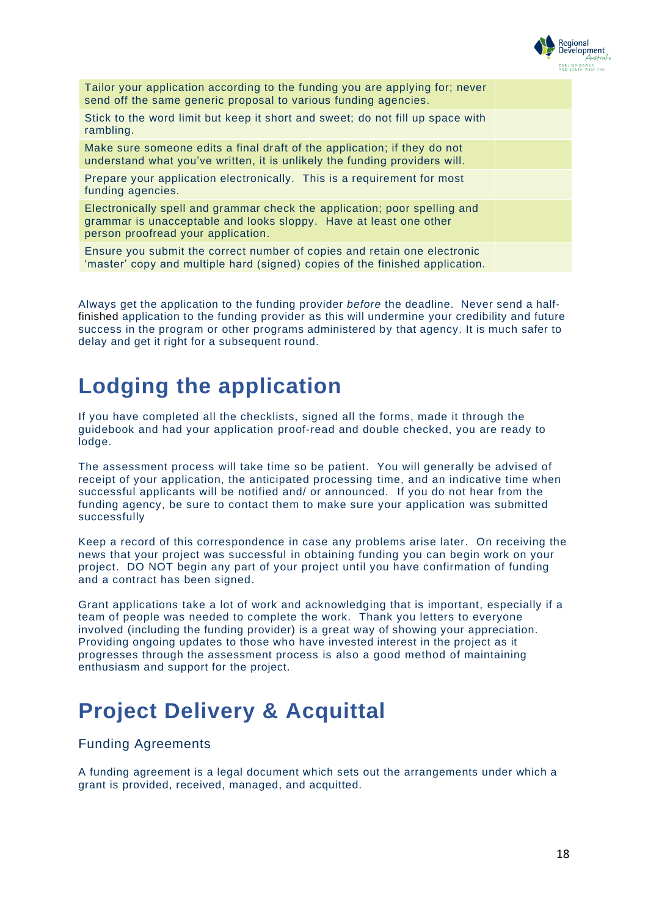

| Tailor your application according to the funding you are applying for; never<br>send off the same generic proposal to various funding agencies.                                      |  |
|--------------------------------------------------------------------------------------------------------------------------------------------------------------------------------------|--|
| Stick to the word limit but keep it short and sweet; do not fill up space with<br>rambling.                                                                                          |  |
| Make sure someone edits a final draft of the application; if they do not<br>understand what you've written, it is unlikely the funding providers will.                               |  |
| Prepare your application electronically. This is a requirement for most<br>funding agencies.                                                                                         |  |
| Electronically spell and grammar check the application; poor spelling and<br>grammar is unacceptable and looks sloppy. Have at least one other<br>person proofread your application. |  |
| Ensure you submit the correct number of copies and retain one electronic<br>'master' copy and multiple hard (signed) copies of the finished application.                             |  |

Always get the application to the funding provider *before* the deadline. Never send a halffinished application to the funding provider as this will undermine your credibility and future success in the program or other programs administered by that agency. It is much safer to delay and get it right for a subsequent round.

## <span id="page-17-0"></span>**Lodging the application**

If you have completed all the checklists, signed all the forms, made it through the guidebook and had your application proof-read and double checked, you are ready to lodge.

The assessment process will take time so be patient. You will generally be advised of receipt of your application, the anticipated processing time, and an indicative time when successful applicants will be notified and/ or announced. If you do not hear from the funding agency, be sure to contact them to make sure your application was submitted successfully

Keep a record of this correspondence in case any problems arise later. On receiving the news that your project was successful in obtaining funding you can begin work on your project. DO NOT begin any part of your project until you have confirmation of funding and a contract has been signed.

Grant applications take a lot of work and acknowledging that is important, especially if a team of people was needed to complete the work. Thank you letters to everyone involved (including the funding provider) is a great way of showing your appreciation. Providing ongoing updates to those who have invested interest in the project as it progresses through the assessment process is also a good method of maintaining enthusiasm and support for the project.

# <span id="page-17-1"></span>**Project Delivery & Acquittal**

### Funding Agreements

A funding agreement is a legal document which sets out the arrangements under which a grant is provided, received, managed, and acquitted.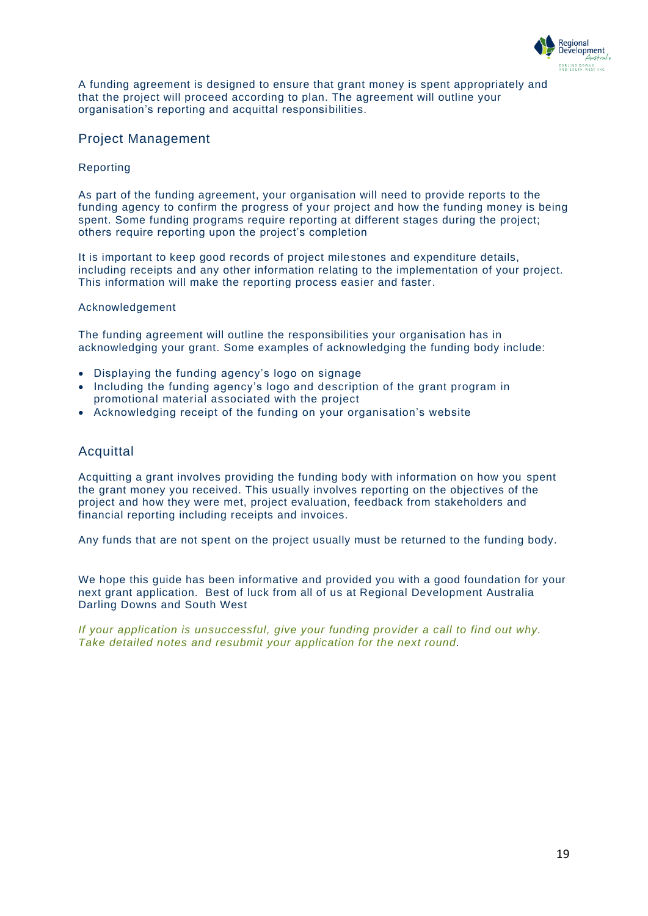

A funding agreement is designed to ensure that grant money is spent appropriately and that the project will proceed according to plan. The agreement will outline your organisation's reporting and acquittal responsibilities.

### Project Management

#### Reporting

As part of the funding agreement, your organisation will need to provide reports to the funding agency to confirm the progress of your project and how the funding money is being spent. Some funding programs require reporting at different stages during the project; others require reporting upon the project's completion

It is important to keep good records of project milestones and expenditure details, including receipts and any other information relating to the implementation of your project. This information will make the reporting process easier and faster.

#### Acknowledgement

The funding agreement will outline the responsibilities your organisation has in acknowledging your grant. Some examples of acknowledging the funding body include:

- Displaying the funding agency's logo on signage
- Including the funding agency's logo and description of the grant program in promotional material associated with the project
- Acknowledging receipt of the funding on your organisation's website

#### Acquittal

Acquitting a grant involves providing the funding body with information on how you spent the grant money you received. This usually involves reporting on the objectives of the project and how they were met, project evaluation, feedback from stakeholders and financial reporting including receipts and invoices.

Any funds that are not spent on the project usually must be returned to the funding body.

We hope this guide has been informative and provided you with a good foundation for your next grant application. Best of luck from all of us at Regional Development Australia Darling Downs and South West

*If your application is unsuccessful, give your funding provider a call to find out why. Take detailed notes and resubmit your application for the next round.*